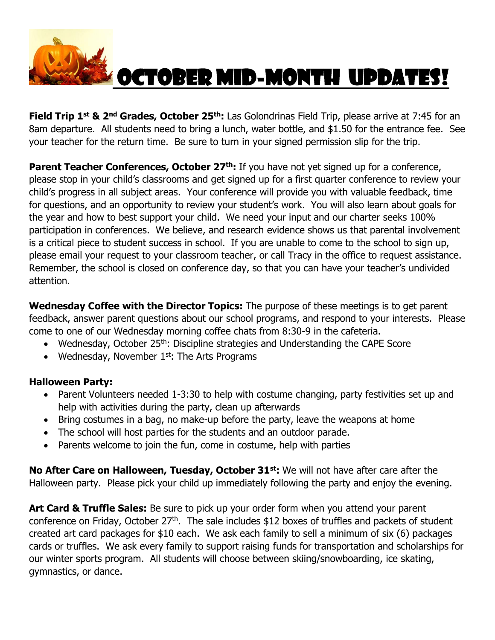

## October Mid-Month Updates!

**Field Trip 1 st & 2nd Grades, October 25th:** Las Golondrinas Field Trip, please arrive at 7:45 for an 8am departure. All students need to bring a lunch, water bottle, and \$1.50 for the entrance fee. See your teacher for the return time. Be sure to turn in your signed permission slip for the trip.

**Parent Teacher Conferences, October 27<sup>th</sup>:** If you have not yet signed up for a conference, please stop in your child's classrooms and get signed up for a first quarter conference to review your child's progress in all subject areas. Your conference will provide you with valuable feedback, time for questions, and an opportunity to review your student's work. You will also learn about goals for the year and how to best support your child. We need your input and our charter seeks 100% participation in conferences. We believe, and research evidence shows us that parental involvement is a critical piece to student success in school. If you are unable to come to the school to sign up, please email your request to your classroom teacher, or call Tracy in the office to request assistance. Remember, the school is closed on conference day, so that you can have your teacher's undivided attention.

**Wednesday Coffee with the Director Topics:** The purpose of these meetings is to get parent feedback, answer parent questions about our school programs, and respond to your interests. Please come to one of our Wednesday morning coffee chats from 8:30-9 in the cafeteria.

- Wednesday, October 25<sup>th</sup>: Discipline strategies and Understanding the CAPE Score
- Wednesday, November  $1<sup>st</sup>$ : The Arts Programs

## **Halloween Party:**

- Parent Volunteers needed 1-3:30 to help with costume changing, party festivities set up and help with activities during the party, clean up afterwards
- Bring costumes in a bag, no make-up before the party, leave the weapons at home
- The school will host parties for the students and an outdoor parade.
- Parents welcome to join the fun, come in costume, help with parties

**No After Care on Halloween, Tuesday, October 31st:** We will not have after care after the Halloween party. Please pick your child up immediately following the party and enjoy the evening.

**Art Card & Truffle Sales:** Be sure to pick up your order form when you attend your parent conference on Friday, October 27<sup>th</sup>. The sale includes \$12 boxes of truffles and packets of student created art card packages for \$10 each. We ask each family to sell a minimum of six (6) packages cards or truffles. We ask every family to support raising funds for transportation and scholarships for our winter sports program. All students will choose between skiing/snowboarding, ice skating, gymnastics, or dance.